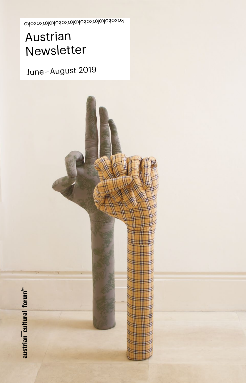

## June – August 2019

# Austrian Newsletter

kokokokokokokokokokokokokokokoko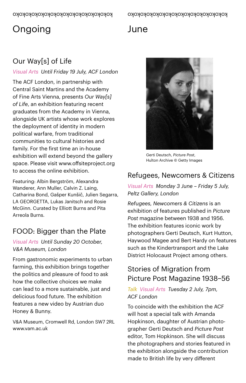## Ongoing

## June

### Our Way[s] of Life

#### *Visual Arts Until Friday 19 July, ACF London*

The ACF London, in partnership with Central Saint Martins and the Academy of Fine Arts Vienna, presents *Our Way[s] of Life*, an exhibition featuring recent graduates from the Academy in Vienna, alongside UK artists whose work explores the deployment of identity in modern political warfare, from traditional communities to cultural histories and family. For the first time an in-house exhibition will extend beyond the gallery space. Please visit www.offsiteproject.org to access the online exhibition.

Featuring: Albin Bergström, Alexandra Wanderer, Ann Muller, Calvin Z. Laing, Catharina Bond, Gašper Kunšič, Julien Segarra, LA GEORGETTA, Lukas Janitsch and Rosie McGinn. Curated by Elliott Burns and Pita Arreola Burns.

### FOOD: Bigger than the Plate

#### *Visual Arts Until Sunday 20 October, V&A Museum, London*

From gastronomic experiments to urban farming, this exhibition brings together the politics and pleasure of food to ask how the collective choices we make can lead to a more sustainable, just and delicious food future. The exhibition features a new video by Austrian duo Honey & Bunny.

V&A Museum, Cromwell Rd, London SW7 2RL [www.vam.ac.uk](http://www.vam.ac.uk)



Gerti Deutsch, *Picture Post*, Hulton Archive © Getty Images

### Refugees, Newcomers & Citizens

*Visual Arts Monday 3 June – Friday 5 July, Peltz Gallery, London*

*Refugees, Newcomers & Citizens* is an exhibition of features published in *Picture Post* magazine between 1938 and 1956. The exhibition features iconic work by photographers Gerti Deutsch, Kurt Hutton, Haywood Magee and Bert Hardy on features such as the Kindertransport and the Lake District Holocaust Project among others.

### Stories of Migration from Picture Post Magazine 1938–56

#### *Talk Visual Arts Tuesday 2 July, 7pm, ACF London*

To coincide with the exhibition the ACF will host a special talk with Amanda Hopkinson, daughter of Austrian photographer Gerti Deutsch and *Picture Post*  editor, Tom Hopkinson. She will discuss the photographers and stories featured in the exhibition alongside the contribution made to British life by very different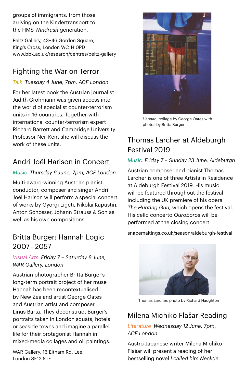groups of immigrants, from those arriving on the Kindertransport to the HMS *Windrush* generation.

Peltz Gallery, 43-46 Gordon Square, King's Cross, London WC1H 0PD [www.bbk.ac.uk/research/centres/peltz-gallery](http://www.bbk.ac.uk/research/centres/peltz-gallery) 

### Fighting the War on Terror

*Talk Tuesday 4 June, 7pm, ACF London*

For her latest book the Austrian journalist Judith Grohmann was given access into the world of specialist counter-terrorism units in 16 countries. Together with international counter-terrorism expert Richard Barrett and Cambridge University Professor Neil Kent she will discuss the work of these units.

### Andri Joël Harison in Concert

#### *Music Thursday 6 June, 7pm, ACF London*

Multi-award-winning Austrian pianist, conductor, composer and singer Andri Joël Harison will perform a special concert of works by Györgi Ligeti, Nikolai Kapustin, Anton Schosser, Johann Strauss & Son as well as his own compositions.

### Britta Burger: Hannah Logic 2007 – 2057

*Visual Arts Friday 7 – Saturday 8 June, WAR Gallery, London*

Austrian photographer Britta Burger's long-term portrait project of her muse Hannah has been recontextualised by New Zealand artist George Oates and Austrian artist and composer Linus Barta. They deconstruct Burger's portraits taken in London squats, hotels or seaside towns and imagine a parallel life for their protagonist Hannah in mixed-media collages and oil paintings.

WAR Gallery, 16 Fltham Rd, Lee, London SE12 8TF



*Hannah*, collage by George Oates with photos by Britta Burger

### Thomas Larcher at Aldeburgh Festival 2019

#### *Music Friday 7 – Sunday 23 June, Aldeburgh*

Austrian composer and pianist Thomas Larcher is one of three Artists in Residence at Aldeburgh Festival 2019. His music will be featured throughout the festival including the UK premiere of his opera *The Hunting Gun,* which opens the festival. His cello concerto *Ouroboros* will be performed at the closing concert.

[snapemaltings.co.uk/season/aldeburgh-festival](https://snapemaltings.co.uk/season/aldeburgh-festival) 



Thomas Larcher, photo by Richard Haughton

### Milena Michiko Flašar Reading

*Literature Wednesday 12 June, 7pm, ACF London*

Austro-Japanese writer Milena Michiko Flašar will present a reading of her bestselling novel *I called him Necktie*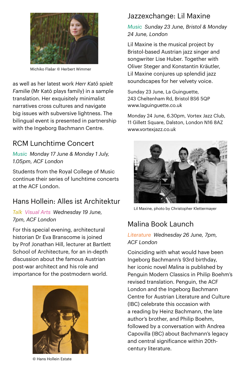

Michiko Flašar © Herbert Wimmer

as well as her latest work *Herr Katō spielt Familie* (Mr Katō plays family) in a sample translation. Her exquisitely minimalist narratives cross cultures and navigate big issues with subversive lightness. The bilingual event is presented in partnership with the Ingeborg Bachmann Centre.

### RCM Lunchtime Concert

*Music Monday 17 June & Monday 1 July, 1.05pm, ACF London*

Students from the Royal College of Music continue their series of lunchtime concerts at the ACF London.

### Hans Hollein: Alles ist Architektur

*Talk Visual Arts Wednesday 19 June, 7pm, ACF London*

For this special evening, architectural historian Dr Eva Branscome is joined by Prof Jonathan Hill, lecturer at Bartlett School of Architecture, for an in-depth discussion about the famous Austrian post-war architect and his role and importance for the postmodern world.



© Hans Hollein Estate

### Jazzexchange: Lil Maxine

#### *Music Sunday 23 June, Bristol & Monday 24 June, London*

Lil Maxine is the musical project by Bristol-based Austrian jazz singer and songwriter Lise Huber. Together with Oliver Steger and Konstantin Kräutler, Lil Maxine conjures up splendid jazz soundscapes for her velvety voice.

Sunday 23 June, La Guinguette, 243 Cheltenham Rd, Bristol BS6 5QP [www.laguinguette.co.uk](http://www.laguinguette.co.uk) 

Monday 24 June, 6.30pm, Vortex Jazz Club, 11 Gillett Square, Dalston, London N16 8AZ [www.vortexjazz.co.uk](http://www.vortexjazz.co.uk) 



Lil Maxine, photo by Christopher Klettermayer

### Malina Book Launch

#### *Literature Wednesday 26 June, 7pm, ACF London*

Coinciding with what would have been Ingeborg Bachmann's 93rd birthday, her iconic novel *Malina* is published by Penguin Modern Classics in Philip Boehm's revised translation. Penguin, the ACF London and the Ingeborg Bachmann Centre for Austrian Literature and Culture (IBC) celebrate this occasion with a reading by Heinz Bachmann, the late author's brother, and Philip Boehm, followed by a conversation with Andrea Capovilla (IBC) about Bachmann's legacy and central significance within 20thcentury literature.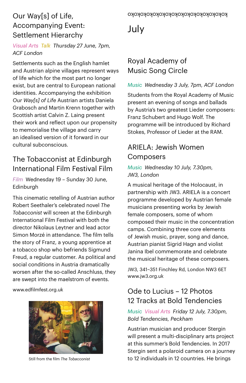### Our Way[s] of Life, Accompanying Event: Settlement Hierarchy

#### *Visual Arts Talk Thursday 27 June, 7pm, ACF London*

Settlements such as the English hamlet and Austrian alpine villages represent ways of life which for the most part no longer exist, but are central to European national identities. Accompanying the exhibition *Our Way[s] of Life* Austrian artists Daniela Grabosch and Martin Krenn together with Scottish artist Calvin Z. Laing present their work and reflect upon our propensity to memorialise the village and carry an idealised version of it forward in our cultural subconscious.

### The Tobacconist at Edinburgh International Film Festival Film

*Film* Wednesday 19 – Sunday 30 June, **Edinburgh** 

This cinematic retelling of Austrian author Robert Seethaler's celebrated novel *The Tobacconist* will screen at the Edinburgh International Film Festival with both the director Nikolaus Leytner and lead actor Simon Morzé in attendance. The film tells the story of Franz, a young apprentice at a tobacco shop who befriends Sigmund Freud, a regular customer. As political and social conditions in Austria dramatically worsen after the so-called Anschluss, they are swept into the maelstrom of events.

[www.edfilmfest.org.uk](http://www.edfilmfest.org.uk)



## July

### Royal Academy of Music Song Circle

#### *Music Wednesday 3 July, 7pm, ACF London*

Students from the Royal Academy of Music present an evening of songs and ballads by Austria's two greatest Lieder composers: Franz Schubert and Hugo Wolf. The programme will be introduced by Richard Stokes, Professor of Lieder at the RAM.

### ARIELA: Jewish Women Composers

#### *Music Wednesday 10 July, 7.30pm, JW3, London*

A musical heritage of the Holocaust, in partnership with JW3. ARIELA is a concert programme developed by Austrian female musicians presenting works by Jewish female composers, some of whom composed their music in the concentration camps. Combining three core elements of Jewish music, prayer, song and dance, Austrian pianist Sigrid Hagn and violist Janina Ibel commemorate and celebrate the musical heritage of these composers.

JW3, 341–351 Finchley Rd, London NW3 6ET [www.jw3.org.uk](http://www.jw3.org.uk)

### Ode to Lucius – 12 Photos 12 Tracks at Bold Tendencies

*Music Visual Arts Friday 12 July, 7.30pm, Bold Tendencies, Peckham*

Austrian musician and producer Stergin will present a multi-disciplinary arts project at this summer's Bold Tendencies. In 2017 Stergin sent a polaroid camera on a journey Still from the film *The Tobacconist* to 12 individuals in 12 countries. He brings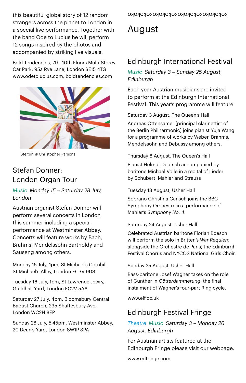kokokokokokokokokokokokokokokoko this beautiful global story of 12 random strangers across the planet to London in a special live performance. Together with the band Ode to Lucius he will perform 12 songs inspired by the photos and accompanied by striking live visuals.

Bold Tendencies, 7th–10th Floors Multi-Storey Car Park, 95a Rye Lane, London SE15 4TG www.odetolucius.com, boldtendencies.com



Stergin © Christopher Parsons

### Stefan Donner: London Organ Tour

*Music Monday 15 – Saturday 28 July, London*

Austrian organist Stefan Donner will perform several concerts in London this summer including a special performance at Westminster Abbey. Concerts will feature works by Bach, Brahms, Mendelssohn Bartholdy and Sauseng among others.

Monday 15 July, 1pm, St Michael's Cornhill, St Michael's Alley, London EC3V 9DS

Tuesday 16 July, 1pm, St Lawrence Jewry, Guildhall Yard, London EC2V 5AA

Saturday 27 July, 4pm, Bloomsbury Central Baptist Church, 235 Shaftesbury Ave, London WC2H 8EP

Sunday 28 July, 5.45pm, Westminster Abbey, 20 Dean's Yard, London SW1P 3PA

## August

### Edinburgh International Festival

*Music Saturday 3 – Sunday 25 August, Edinburgh*

Each year Austrian musicians are invited to perform at the Edinburgh International Festival. This year's programme will feature:

Saturday 3 August, The Queen's Hall

Andreas Ottensamer (principal clarinettist of the Berlin Philharmonic) joins pianist Yuja Wang for a programme of works by Weber, Brahms, Mendelssohn and Debussy among others.

#### Thursday 8 August, The Queen's Hall

Pianist Helmut Deutsch accompanied by baritone Michael Volle in a recital of Lieder by Schubert, Mahler and Strauss

#### Tuesday 13 August, Usher Hall

Soprano Christina Gansch joins the BBC Symphony Orchestra in a performance of Mahler's *Symphony No. 4*.

#### Saturday 24 August, Usher Hall

Celebrated Austrian baritone Florian Boesch will perform the solo in Britten's *War Requiem* alongside the Orchestre de Paris, the Edinburgh Festival Chorus and NYCOS National Girls Choir.

#### Sunday 25 August, Usher Hall

Bass-baritone Josef Wagner takes on the role of Gunther in *Götterdämmerung*, the final instalment of Wagner's four-part Ring cycle.

[www.eif.co.uk](http://www.eif.co.uk)

### Edinburgh Festival Fringe

*Theatre Music Saturday 3 – Monday 26 August, Edinburgh*

For Austrian artists featured at the Edinburgh Fringe please visit our webpage.

www.edfringe.com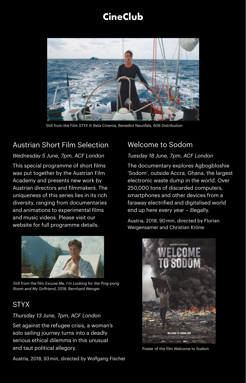## **CineClub**



Still from the Film *STYX* © Beta Cinema, Benedict Neunfels, 606 Distribution

### Austrian Short Film Selection

#### *Wednesday 5 June, 7pm, ACF London*

This special programme of short films was put together by the Austrian Film Academy and presents new work by Austrian directors and filmmakers. The uniqueness of this series lies in its rich diversity, ranging from documentaries and animations to experimental films and music videos. Please visit our website for full programme details.



Still from the film *Excuse Me, I*'*m Looking for the Ping-pong Room and My Girlfriend*, 2018, Bernhard Wenger

### **STYX**

#### *Thursday 13 June, 7pm, ACF London*

Set against the refugee crisis, a woman's solo sailing journey turns into a deadly serious ethical dilemma in this unusual and taut political allegory.

Austria, 2018, 93 min, directed by Wolfgang Fischer

### Welcome to Sodom

#### *Tuesday 18 June, 7pm, ACF London*

The documentary explores Agbogbloshie 'Sodom', outside Accra, Ghana, the largest electronic waste dump in the world. Over 250,000 tons of discarded computers, smartphones and other devices from a faraway electrified and digitalised world end up here every year – illegally.

Austria, 2018, 90 min, directed by Florian Weigensamer and Christian Kröne



Poster of the film *Welcome to Sodom*